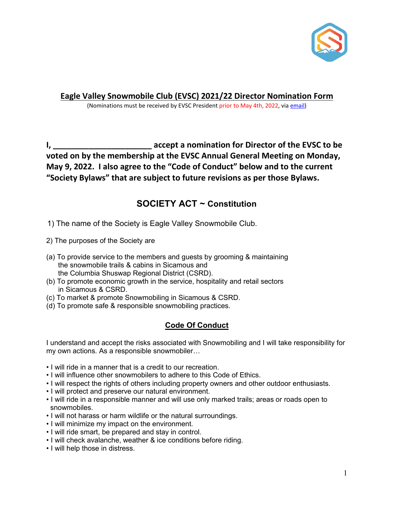

**Eagle Valley Snowmobile Club (EVSC) 2021/22 Director Nomination Form**

(Nominations must be received by EVSC President prior to May 4th, 2022, via [email\)](mailto:protech123@hotmail.com?subject=EVSC%20-%20Nomination%20Form)

**I, \_\_\_\_\_\_\_\_\_\_\_\_\_\_\_\_\_\_\_\_\_\_ accept a nomination for Director of the EVSC to be voted on by the membership at the EVSC Annual General Meeting on Monday, May 9, 2022. I also agree to the "Code of Conduct" below and to the current "Society Bylaws" that are subject to future revisions as per those Bylaws.**

## **SOCIETY ACT ~ Constitution**

1) The name of the Society is Eagle Valley Snowmobile Club.

- 2) The purposes of the Society are
- (a) To provide service to the members and guests by grooming & maintaining the snowmobile trails & cabins in Sicamous and the Columbia Shuswap Regional District (CSRD).
- (b) To promote economic growth in the service, hospitality and retail sectors in Sicamous & CSRD.
- (c) To market & promote Snowmobiling in Sicamous & CSRD.
- (d) To promote safe & responsible snowmobiling practices.

## **Code Of Conduct**

I understand and accept the risks associated with Snowmobiling and I will take responsibility for my own actions. As a responsible snowmobiler…

- I will ride in a manner that is a credit to our recreation.
- I will influence other snowmobilers to adhere to this Code of Ethics.
- I will respect the rights of others including property owners and other outdoor enthusiasts.
- I will protect and preserve our natural environment.
- I will ride in a responsible manner and will use only marked trails; areas or roads open to snowmobiles.
- I will not harass or harm wildlife or the natural surroundings.
- I will minimize my impact on the environment.
- I will ride smart, be prepared and stay in control.
- I will check avalanche, weather & ice conditions before riding.
- I will help those in distress.